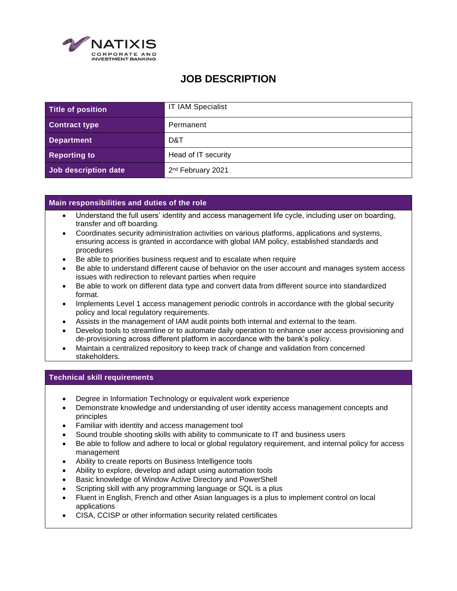

## **JOB DESCRIPTION**

| Title of position    | <b>IT IAM Specialist</b>      |
|----------------------|-------------------------------|
| <b>Contract type</b> | Permanent                     |
| <b>Department</b>    | D&T                           |
| <b>Reporting to</b>  | Head of IT security           |
| Job description date | 2 <sup>nd</sup> February 2021 |

## **Main responsibilities and duties of the role**

- Understand the full users' identity and access management life cycle, including user on boarding, transfer and off boarding.
- Coordinates security administration activities on various platforms, applications and systems, ensuring access is granted in accordance with global IAM policy, established standards and procedures
- Be able to priorities business request and to escalate when require
- Be able to understand different cause of behavior on the user account and manages system access issues with redirection to relevant parties when require
- Be able to work on different data type and convert data from different source into standardized format.
- Implements Level 1 access management periodic controls in accordance with the global security policy and local regulatory requirements.
- Assists in the management of IAM audit points both internal and external to the team.
- Develop tools to streamline or to automate daily operation to enhance user access provisioning and de-provisioning across different platform in accordance with the bank's policy.
- Maintain a centralized repository to keep track of change and validation from concerned stakeholders.

## **Technical skill requirements**

- Degree in Information Technology or equivalent work experience
- Demonstrate knowledge and understanding of user identity access management concepts and principles
- Familiar with identity and access management tool
- Sound trouble shooting skills with ability to communicate to IT and business users
- Be able to follow and adhere to local or global regulatory requirement, and internal policy for access management
- Ability to create reports on Business Intelligence tools
- Ability to explore, develop and adapt using automation tools
- Basic knowledge of Window Active Directory and PowerShell
- Scripting skill with any programming language or SQL is a plus
- Fluent in English, French and other Asian languages is a plus to implement control on local applications
- CISA, CCISP or other information security related certificates